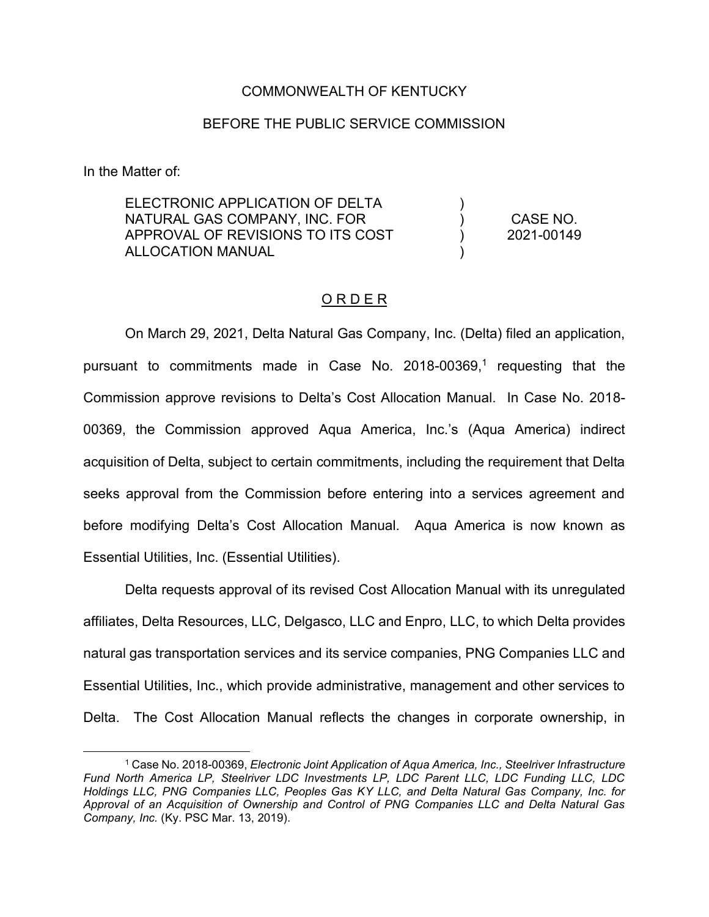## COMMONWEALTH OF KENTUCKY

## BEFORE THE PUBLIC SERVICE COMMISSION

In the Matter of:

ELECTRONIC APPLICATION OF DELTA NATURAL GAS COMPANY, INC. FOR APPROVAL OF REVISIONS TO ITS COST ALLOCATION MANUAL ) ) ) ) CASE NO. 2021-00149

## O R D E R

On March 29, 2021, Delta Natural Gas Company, Inc. (Delta) filed an application, pursuant to commitments made in Case No. 2018-00369, <sup>1</sup> requesting that the Commission approve revisions to Delta's Cost Allocation Manual. In Case No. 2018- 00369, the Commission approved Aqua America, Inc.'s (Aqua America) indirect acquisition of Delta, subject to certain commitments, including the requirement that Delta seeks approval from the Commission before entering into a services agreement and before modifying Delta's Cost Allocation Manual. Aqua America is now known as Essential Utilities, Inc. (Essential Utilities).

Delta requests approval of its revised Cost Allocation Manual with its unregulated affiliates, Delta Resources, LLC, Delgasco, LLC and Enpro, LLC, to which Delta provides natural gas transportation services and its service companies, PNG Companies LLC and Essential Utilities, Inc., which provide administrative, management and other services to Delta. The Cost Allocation Manual reflects the changes in corporate ownership, in

<sup>1</sup> Case No. 2018-00369, *Electronic Joint Application of Aqua America, Inc., Steelriver Infrastructure Fund North America LP, Steelriver LDC Investments LP, LDC Parent LLC, LDC Funding LLC, LDC Holdings LLC, PNG Companies LLC, Peoples Gas KY LLC, and Delta Natural Gas Company, Inc. for Approval of an Acquisition of Ownership and Control of PNG Companies LLC and Delta Natural Gas Company, Inc.* (Ky. PSC Mar. 13, 2019).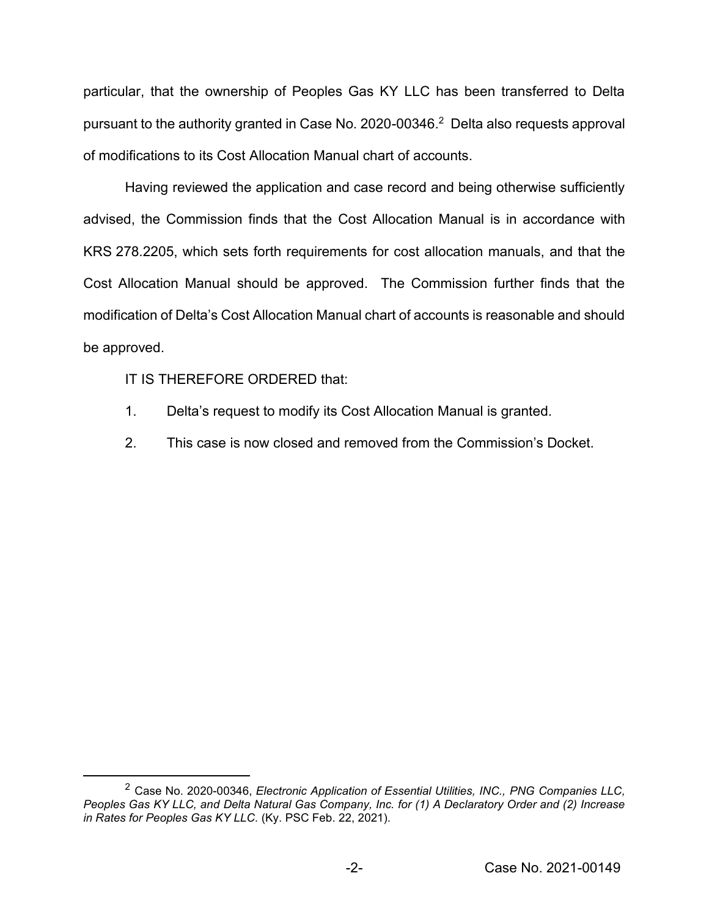particular, that the ownership of Peoples Gas KY LLC has been transferred to Delta pursuant to the authority granted in Case No. 2020-00346. <sup>2</sup> Delta also requests approval of modifications to its Cost Allocation Manual chart of accounts.

Having reviewed the application and case record and being otherwise sufficiently advised, the Commission finds that the Cost Allocation Manual is in accordance with KRS 278.2205, which sets forth requirements for cost allocation manuals, and that the Cost Allocation Manual should be approved. The Commission further finds that the modification of Delta's Cost Allocation Manual chart of accounts is reasonable and should be approved.

IT IS THEREFORE ORDERED that:

- 1. Delta's request to modify its Cost Allocation Manual is granted.
- 2. This case is now closed and removed from the Commission's Docket.

<sup>2</sup> Case No. 2020-00346, *Electronic Application of Essential Utilities, INC., PNG Companies LLC, Peoples Gas KY LLC, and Delta Natural Gas Company, Inc. for (1) A Declaratory Order and (2) Increase in Rates for Peoples Gas KY LLC.* (Ky. PSC Feb. 22, 2021).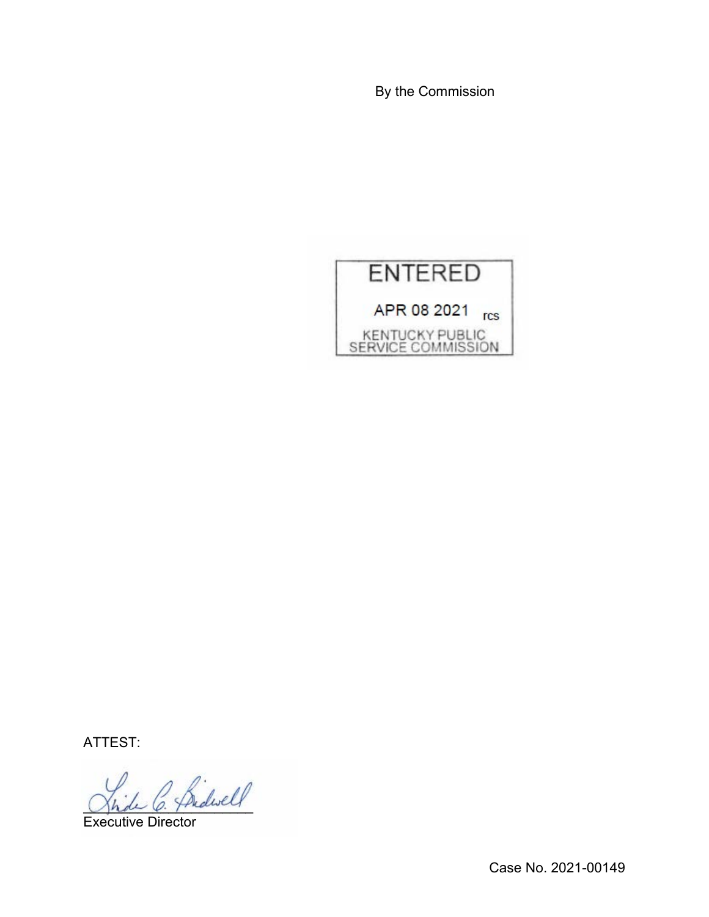By the Commission



ATTEST:

\_\_\_\_\_\_\_\_\_\_\_\_\_\_\_\_\_\_\_\_\_\_

Executive Director

Case No. 2021-00149